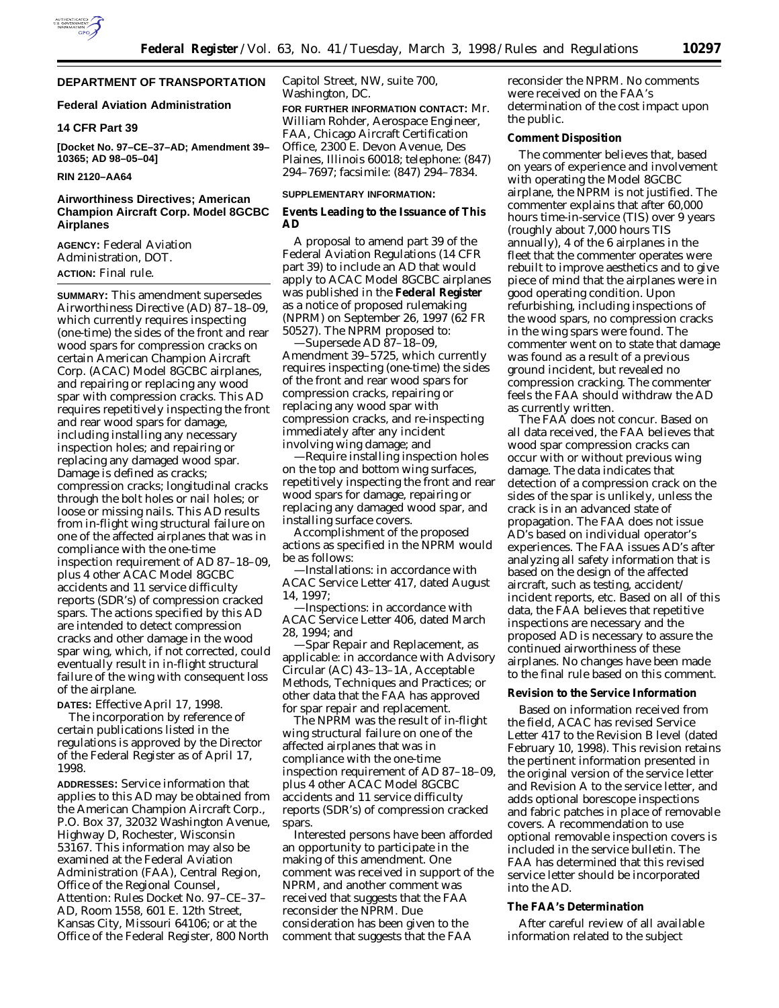

# **DEPARTMENT OF TRANSPORTATION**

## **Federal Aviation Administration**

## **14 CFR Part 39**

**[Docket No. 97–CE–37–AD; Amendment 39– 10365; AD 98–05–04]**

#### **RIN 2120–AA64**

# **Airworthiness Directives; American Champion Aircraft Corp. Model 8GCBC Airplanes**

**AGENCY:** Federal Aviation Administration, DOT. **ACTION:** Final rule.

**SUMMARY:** This amendment supersedes Airworthiness Directive (AD) 87–18–09, which currently requires inspecting (one-time) the sides of the front and rear wood spars for compression cracks on certain American Champion Aircraft Corp. (ACAC) Model 8GCBC airplanes, and repairing or replacing any wood spar with compression cracks. This AD requires repetitively inspecting the front and rear wood spars for damage, including installing any necessary inspection holes; and repairing or replacing any damaged wood spar. Damage is defined as cracks; compression cracks; longitudinal cracks through the bolt holes or nail holes; or loose or missing nails. This AD results from in-flight wing structural failure on one of the affected airplanes that was in compliance with the one-time inspection requirement of AD 87–18–09, plus 4 other ACAC Model 8GCBC accidents and 11 service difficulty reports (SDR's) of compression cracked spars. The actions specified by this AD are intended to detect compression cracks and other damage in the wood spar wing, which, if not corrected, could eventually result in in-flight structural failure of the wing with consequent loss of the airplane.

**DATES:** Effective April 17, 1998.

The incorporation by reference of certain publications listed in the regulations is approved by the Director of the Federal Register as of April 17, 1998.

**ADDRESSES:** Service information that applies to this AD may be obtained from the American Champion Aircraft Corp., P.O. Box 37, 32032 Washington Avenue, Highway D, Rochester, Wisconsin 53167. This information may also be examined at the Federal Aviation Administration (FAA), Central Region, Office of the Regional Counsel, Attention: Rules Docket No. 97–CE–37– AD, Room 1558, 601 E. 12th Street, Kansas City, Missouri 64106; or at the Office of the Federal Register, 800 North

Capitol Street, NW, suite 700, Washington, DC.

**FOR FURTHER INFORMATION CONTACT:** Mr. William Rohder, Aerospace Engineer, FAA, Chicago Aircraft Certification Office, 2300 E. Devon Avenue, Des Plaines, Illinois 60018; telephone: (847) 294–7697; facsimile: (847) 294–7834.

## **SUPPLEMENTARY INFORMATION:**

### **Events Leading to the Issuance of This AD**

A proposal to amend part 39 of the Federal Aviation Regulations (14 CFR part 39) to include an AD that would apply to ACAC Model 8GCBC airplanes was published in the **Federal Register** as a notice of proposed rulemaking (NPRM) on September 26, 1997 (62 FR 50527). The NPRM proposed to: —Supersede AD 87–18–09,

Amendment 39–5725, which currently requires inspecting (one-time) the sides of the front and rear wood spars for compression cracks, repairing or replacing any wood spar with compression cracks, and re-inspecting immediately after any incident involving wing damage; and

—Require installing inspection holes on the top and bottom wing surfaces, repetitively inspecting the front and rear wood spars for damage, repairing or replacing any damaged wood spar, and installing surface covers.

Accomplishment of the proposed actions as specified in the NPRM would be as follows:

—Installations: in accordance with ACAC Service Letter 417, dated August 14, 1997;

—Inspections: in accordance with ACAC Service Letter 406, dated March 28, 1994; and

—Spar Repair and Replacement, as applicable: in accordance with Advisory Circular (AC) 43–13–1A, Acceptable Methods, Techniques and Practices; or other data that the FAA has approved for spar repair and replacement.

The NPRM was the result of in-flight wing structural failure on one of the affected airplanes that was in compliance with the one-time inspection requirement of AD 87–18–09, plus 4 other ACAC Model 8GCBC accidents and 11 service difficulty reports (SDR's) of compression cracked spars.

Interested persons have been afforded an opportunity to participate in the making of this amendment. One comment was received in support of the NPRM, and another comment was received that suggests that the FAA reconsider the NPRM. Due consideration has been given to the comment that suggests that the FAA

reconsider the NPRM. No comments were received on the FAA's determination of the cost impact upon the public.

## **Comment Disposition**

The commenter believes that, based on years of experience and involvement with operating the Model 8GCBC airplane, the NPRM is not justified. The commenter explains that after 60,000 hours time-in-service (TIS) over 9 years (roughly about 7,000 hours TIS annually), 4 of the 6 airplanes in the fleet that the commenter operates were rebuilt to improve aesthetics and to give piece of mind that the airplanes were in good operating condition. Upon refurbishing, including inspections of the wood spars, no compression cracks in the wing spars were found. The commenter went on to state that damage was found as a result of a previous ground incident, but revealed no compression cracking. The commenter feels the FAA should withdraw the AD as currently written.

The FAA does not concur. Based on all data received, the FAA believes that wood spar compression cracks can occur with or without previous wing damage. The data indicates that detection of a compression crack on the sides of the spar is unlikely, unless the crack is in an advanced state of propagation. The FAA does not issue AD's based on individual operator's experiences. The FAA issues AD's after analyzing all safety information that is based on the design of the affected aircraft, such as testing, accident/ incident reports, etc. Based on all of this data, the FAA believes that repetitive inspections are necessary and the proposed AD is necessary to assure the continued airworthiness of these airplanes. No changes have been made to the final rule based on this comment.

# **Revision to the Service Information**

Based on information received from the field, ACAC has revised Service Letter 417 to the Revision B level (dated February 10, 1998). This revision retains the pertinent information presented in the original version of the service letter and Revision A to the service letter, and adds optional borescope inspections and fabric patches in place of removable covers. A recommendation to use optional removable inspection covers is included in the service bulletin. The FAA has determined that this revised service letter should be incorporated into the AD.

## **The FAA's Determination**

After careful review of all available information related to the subject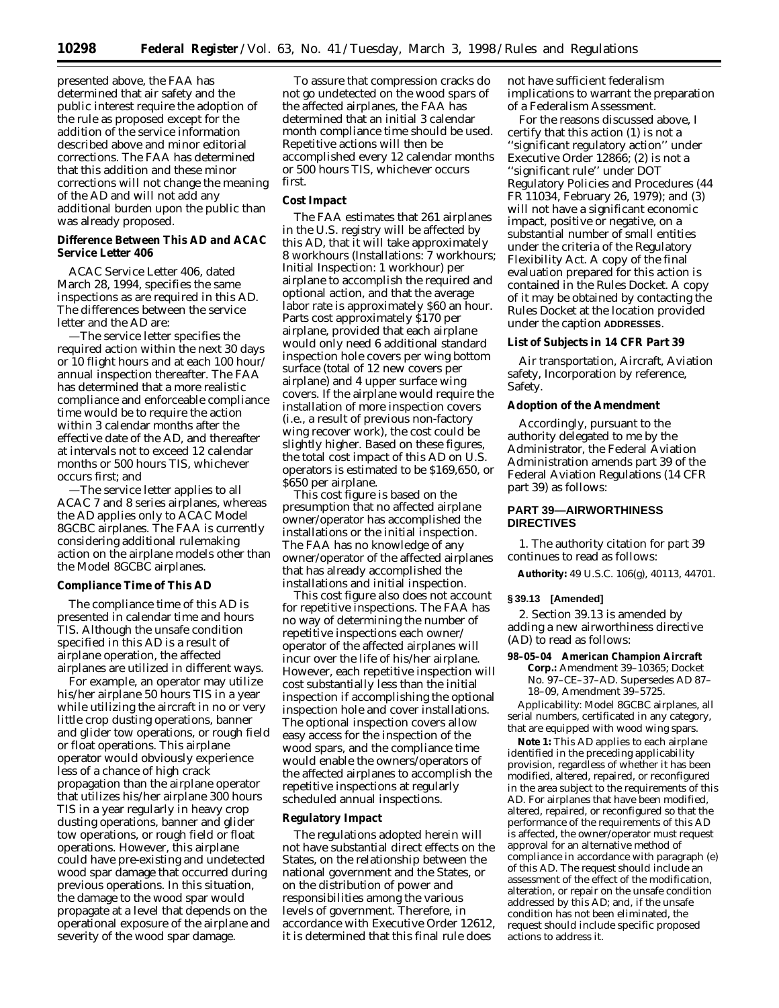presented above, the FAA has determined that air safety and the public interest require the adoption of the rule as proposed except for the addition of the service information described above and minor editorial corrections. The FAA has determined that this addition and these minor corrections will not change the meaning of the AD and will not add any additional burden upon the public than was already proposed.

## **Difference Between This AD and ACAC Service Letter 406**

ACAC Service Letter 406, dated March 28, 1994, specifies the same inspections as are required in this AD. The differences between the service letter and the AD are:

—The service letter specifies the required action within the next 30 days or 10 flight hours and at each 100 hour/ annual inspection thereafter. The FAA has determined that a more realistic compliance and enforceable compliance time would be to require the action within 3 calendar months after the effective date of the AD, and thereafter at intervals not to exceed 12 calendar months or 500 hours TIS, whichever occurs first; and

—The service letter applies to all ACAC 7 and 8 series airplanes, whereas the AD applies only to ACAC Model 8GCBC airplanes. The FAA is currently considering additional rulemaking action on the airplane models other than the Model 8GCBC airplanes.

## **Compliance Time of This AD**

The compliance time of this AD is presented in calendar time and hours TIS. Although the unsafe condition specified in this AD is a result of airplane operation, the affected airplanes are utilized in different ways.

For example, an operator may utilize his/her airplane 50 hours TIS in a year while utilizing the aircraft in no or very little crop dusting operations, banner and glider tow operations, or rough field or float operations. This airplane operator would obviously experience less of a chance of high crack propagation than the airplane operator that utilizes his/her airplane 300 hours TIS in a year regularly in heavy crop dusting operations, banner and glider tow operations, or rough field or float operations. However, this airplane could have pre-existing and undetected wood spar damage that occurred during previous operations. In this situation, the damage to the wood spar would propagate at a level that depends on the operational exposure of the airplane and severity of the wood spar damage.

To assure that compression cracks do not go undetected on the wood spars of the affected airplanes, the FAA has determined that an initial 3 calendar month compliance time should be used. Repetitive actions will then be accomplished every 12 calendar months or 500 hours TIS, whichever occurs first.

## **Cost Impact**

The FAA estimates that 261 airplanes in the U.S. registry will be affected by this AD, that it will take approximately 8 workhours (Installations: 7 workhours; Initial Inspection: 1 workhour) per airplane to accomplish the required and optional action, and that the average labor rate is approximately \$60 an hour. Parts cost approximately \$170 per airplane, provided that each airplane would only need 6 additional standard inspection hole covers per wing bottom surface (total of 12 new covers per airplane) and 4 upper surface wing covers. If the airplane would require the installation of more inspection covers (i.e., a result of previous non-factory wing recover work), the cost could be slightly higher. Based on these figures, the total cost impact of this AD on U.S. operators is estimated to be \$169,650, or \$650 per airplane.

This cost figure is based on the presumption that no affected airplane owner/operator has accomplished the installations or the initial inspection. The FAA has no knowledge of any owner/operator of the affected airplanes that has already accomplished the installations and initial inspection.

This cost figure also does not account for repetitive inspections. The FAA has no way of determining the number of repetitive inspections each owner/ operator of the affected airplanes will incur over the life of his/her airplane. However, each repetitive inspection will cost substantially less than the initial inspection if accomplishing the optional inspection hole and cover installations. The optional inspection covers allow easy access for the inspection of the wood spars, and the compliance time would enable the owners/operators of the affected airplanes to accomplish the repetitive inspections at regularly scheduled annual inspections.

#### **Regulatory Impact**

The regulations adopted herein will not have substantial direct effects on the States, on the relationship between the national government and the States, or on the distribution of power and responsibilities among the various levels of government. Therefore, in accordance with Executive Order 12612, it is determined that this final rule does

not have sufficient federalism implications to warrant the preparation of a Federalism Assessment.

For the reasons discussed above, I certify that this action (1) is not a ''significant regulatory action'' under Executive Order 12866; (2) is not a ''significant rule'' under DOT Regulatory Policies and Procedures (44 FR 11034, February 26, 1979); and (3) will not have a significant economic impact, positive or negative, on a substantial number of small entities under the criteria of the Regulatory Flexibility Act. A copy of the final evaluation prepared for this action is contained in the Rules Docket. A copy of it may be obtained by contacting the Rules Docket at the location provided under the caption **ADDRESSES**.

## **List of Subjects in 14 CFR Part 39**

Air transportation, Aircraft, Aviation safety, Incorporation by reference, Safety.

## **Adoption of the Amendment**

Accordingly, pursuant to the authority delegated to me by the Administrator, the Federal Aviation Administration amends part 39 of the Federal Aviation Regulations (14 CFR part 39) as follows:

# **PART 39—AIRWORTHINESS DIRECTIVES**

1. The authority citation for part 39 continues to read as follows:

**Authority:** 49 U.S.C. 106(g), 40113, 44701.

#### **§ 39.13 [Amended]**

2. Section 39.13 is amended by adding a new airworthiness directive (AD) to read as follows:

**98–05–04 American Champion Aircraft Corp.:** Amendment 39–10365; Docket No. 97–CE–37–AD. Supersedes AD 87– 18–09, Amendment 39–5725.

*Applicability:* Model 8GCBC airplanes, all serial numbers, certificated in any category, that are equipped with wood wing spars.

**Note 1:** This AD applies to each airplane identified in the preceding applicability provision, regardless of whether it has been modified, altered, repaired, or reconfigured in the area subject to the requirements of this AD. For airplanes that have been modified, altered, repaired, or reconfigured so that the performance of the requirements of this AD is affected, the owner/operator must request approval for an alternative method of compliance in accordance with paragraph (e) of this AD. The request should include an assessment of the effect of the modification, alteration, or repair on the unsafe condition addressed by this AD; and, if the unsafe condition has not been eliminated, the request should include specific proposed actions to address it.